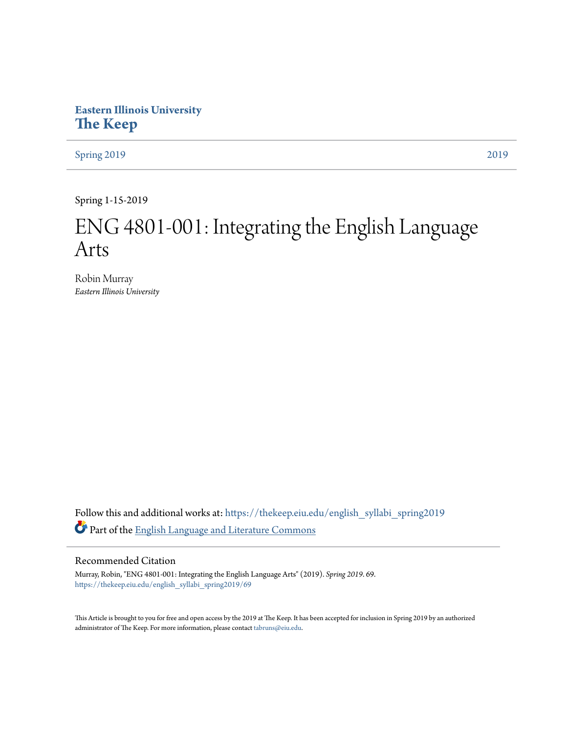## **Eastern Illinois University [The Keep](https://thekeep.eiu.edu?utm_source=thekeep.eiu.edu%2Fenglish_syllabi_spring2019%2F69&utm_medium=PDF&utm_campaign=PDFCoverPages)**

[Spring 2019](https://thekeep.eiu.edu/english_syllabi_spring2019?utm_source=thekeep.eiu.edu%2Fenglish_syllabi_spring2019%2F69&utm_medium=PDF&utm_campaign=PDFCoverPages) [2019](https://thekeep.eiu.edu/english_syllabi2019?utm_source=thekeep.eiu.edu%2Fenglish_syllabi_spring2019%2F69&utm_medium=PDF&utm_campaign=PDFCoverPages)

Spring 1-15-2019

# ENG 4801-001: Integrating the English Language Arts

Robin Murray *Eastern Illinois University*

Follow this and additional works at: [https://thekeep.eiu.edu/english\\_syllabi\\_spring2019](https://thekeep.eiu.edu/english_syllabi_spring2019?utm_source=thekeep.eiu.edu%2Fenglish_syllabi_spring2019%2F69&utm_medium=PDF&utm_campaign=PDFCoverPages) Part of the [English Language and Literature Commons](http://network.bepress.com/hgg/discipline/455?utm_source=thekeep.eiu.edu%2Fenglish_syllabi_spring2019%2F69&utm_medium=PDF&utm_campaign=PDFCoverPages)

#### Recommended Citation

Murray, Robin, "ENG 4801-001: Integrating the English Language Arts" (2019). *Spring 2019*. 69. [https://thekeep.eiu.edu/english\\_syllabi\\_spring2019/69](https://thekeep.eiu.edu/english_syllabi_spring2019/69?utm_source=thekeep.eiu.edu%2Fenglish_syllabi_spring2019%2F69&utm_medium=PDF&utm_campaign=PDFCoverPages)

This Article is brought to you for free and open access by the 2019 at The Keep. It has been accepted for inclusion in Spring 2019 by an authorized administrator of The Keep. For more information, please contact [tabruns@eiu.edu.](mailto:tabruns@eiu.edu)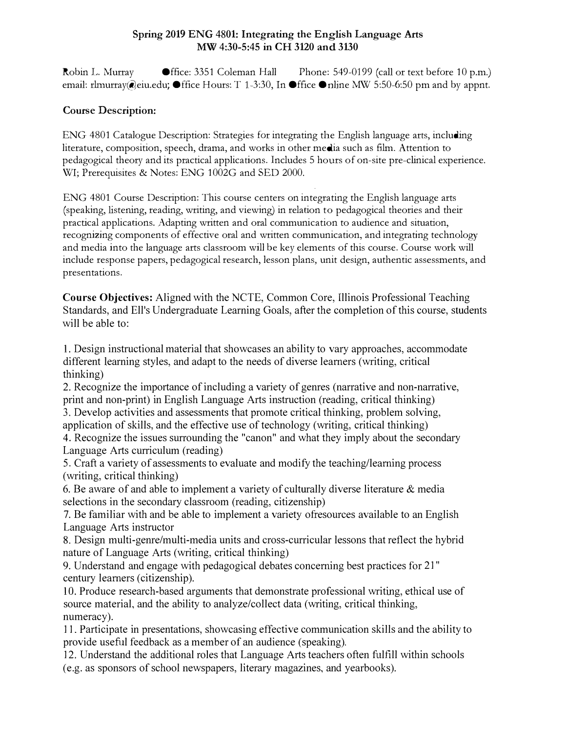#### Spring 2019 ENG 4801: Integrating the English Language Arts MW 4:30-5:45 in CH 3120 and 3130

Robin L. Murray **Office: 3351 Coleman Hall** Phone: 549-0199 (call or text before 10 p.m.) email: rhnurray@eiu.edu;  $\bullet$  ffice Hours: T 1-3:30, In  $\bullet$  ffice  $\bullet$  nline MW 5:50-6:50 pm and by appnt.

#### Course Description:

ENG 4801 Catalogue Description: Strategies for integrating the English language arts, including literature, composition, speech, drama, and works in other media such as film. Attention to pedagogical theory and its practical applications. Includes 5 hours of on-site pre-clinical experience. WI; Prerequisites & Notes: ENG 1002G and SED 2000.

ENG 4801 Course Description: This course centers on integrating the English language arts (speaking, listening, reading, writing, and viewing) in relation to pedagogical theories and their practical applications. Adapting written and oral communication to audience and situation, recognizing components of effective oral and written communication, and integrating technology and media into the language arts classroom will be key elements of this course. Course work will include response papers, pedagogical research, lesson plans, unit design, authentic assessments, and presentations.

Course Objectives: Aligned with the NCTE, Common Core, Illinois Professional Teaching Standards, and Ell's Undergraduate Learning Goals, after the completion of this course, students will be able to:

1. Design instructional material that showcases an ability to vary approaches, accommodate different learning styles, and adapt to the needs of diverse learners (writing, critical thinking)

2. Recognize the importance of including a variety of genres (narrative and non-narrative, print and non-print) in English Language Arts instruction (reading, critical thinking) 3. Develop activities and assessments that promote critical thinking, problem solving,

application of skills, and the effective use of technology (writing, critical thinking)

4. Recognize the issues surrounding the "canon" and what they imply about the secondary Language Arts curriculum (reading)

5. Craft a variety of assessments to evaluate and modify the teaching/learning process (writing, critical thinking)

6. Be aware of and able to implement a variety of culturally diverse literature  $\&$  media selections in the secondary classroom (reading, citizenship)

7. Be familiar with and be able to implement a variety ofresources available to an English Language Arts instructor

8. Design multi-genre/multi-media units and cross-curricular lessons that reflect the hybrid nature of Language Arts (writing, critical thinking)

9. Understand and engage with pedagogical debates concerning best practices for 21" century learners (citizenship).

10. Produce research-based arguments that demonstrate professional writing, ethical use of source material, and the ability to analyze/collect data (writing, critical thinking, numeracy).

11. Participate in presentations, showcasing effective communication skills and the ability to provide useful feedback as a member of an audience (speaking).

12. Understand the additional roles that Language Arts teachers often fulfill within schools (e.g. as sponsors of school newspapers, literary magazines, and yearbooks).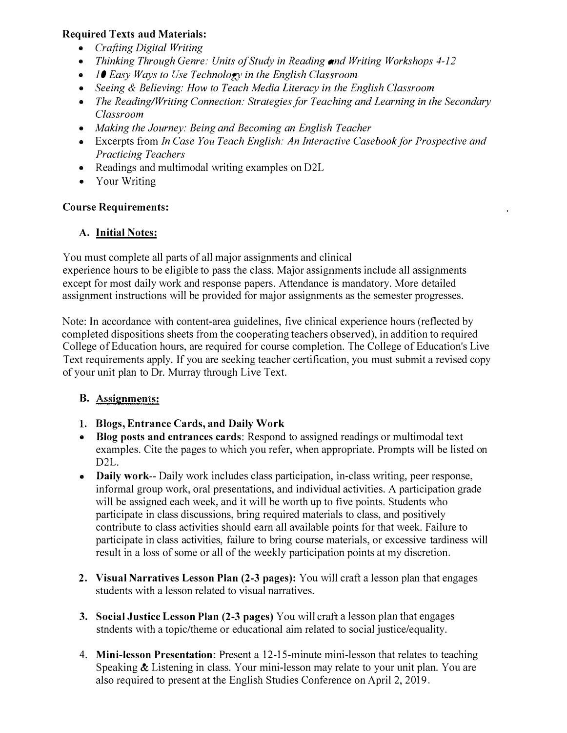#### Required Texts aud Materials:

- Crafting Digital Writing
- Thinking Through Genre: Units of Study in Reading and Writing Workshops 4-12
- 10 Easy Ways to Use Technology in the English Classroom
- Seeing & Believing: How to Teach Media Literacy in the English Classroom
- The Reading/Writing Connection: Strategies for Teaching and Learning in the Secondary Classroom
- Making the Journey: Being and Becoming an English Teacher
- Excerpts from In Case You Teach English: An Interactive Casebook for Prospective and Practicing Teachers
- Readings and multimodal writing examples on D2L
- Your Writing

### Course Requirements:

### A. Initial Notes:

You must complete all parts of all major assignments and clinical experience hours to be eligible to pass the class. Major assignments include all assignments except for most daily work and response papers. Attendance is mandatory. More detailed assignment instructions will be provided for major assignments as the semester progresses.

Note: In accordance with content-area guidelines, five clinical experience hours (reflected by completed dispositions sheets from the cooperating teachers observed), in addition to required College of Education hours, are required for course completion. The College of Education's Live Text requirements apply. If you are seeking teacher certification, you must submit a revised copy of your unit plan to Dr. Murray through Live Text.

### B. Assignments:

- l. Biogs, Entrance Cards, and Daily Work
- Blog posts and entrances cards: Respond to assigned readings or multimodal text examples. Cite the pages to which you refer, when appropriate. Prompts will be listed on D2L.
- Daily work-- Daily work includes class participation, in-class writing, peer response, informal group work, oral presentations, and individual activities. A participation grade will be assigned each week, and it will be worth up to five points. Students who participate in class discussions, bring required materials to class, and positively contribute to class activities should earn all available points for that week. Failure to participate in class activities, failure to bring course materials, or excessive tardiness will result in a loss of some or all of the weekly participation points at my discretion.
- 2. Visual Narratives Lesson Plan (2-3 pages): You will craft a lesson plan that engages students with a lesson related to visual narratives.
- 3. Social Justice Lesson Plan (2-3 pages) You will craft a lesson plan that engages stndents with a topic/theme or educational aim related to social justice/equality.
- 4. Mini-lesson Presentation: Present a 12-15-minute mini-lesson that relates to teaching Speaking & Listening in class. Your mini-lesson may relate to your unit plan. You are also required to present at the English Studies Conference on April 2, 2019.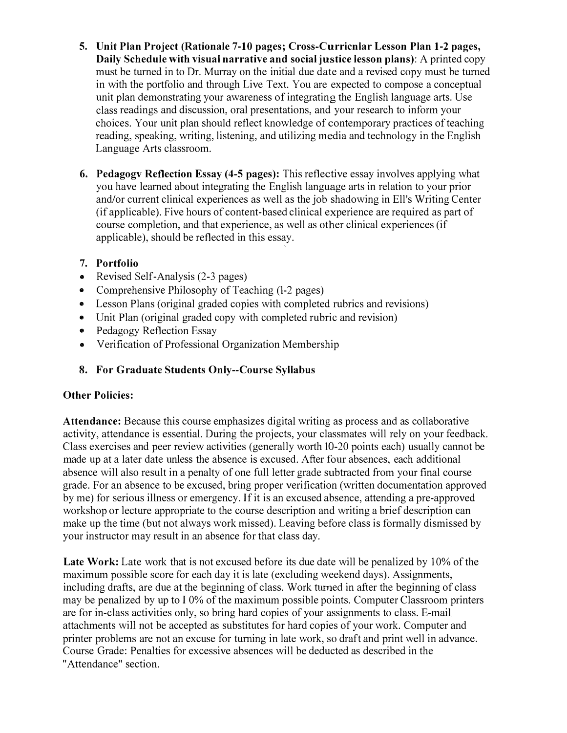- 5. Unit Plan Project (Rationale 7-10 pages; Cross-Curricnlar Lesson Plan 1-2 pages, Daily Schedule with visual narrative and social justice lesson plans): A printed copy must be turned in to Dr. Murray on the initial due date and a revised copy must be turned in with the portfolio and through Live Text. You are expected to compose a conceptual unit plan demonstrating your awareness of integrating the English language arts. Use class readings and discussion, oral presentations, and your research to inform your choices. Your unit plan should reflect knowledge of contemporary practices of teaching reading, speaking, writing, listening, and utilizing media and technology in the English Language Arts classroom.
- 6. Pedagogv Reflection Essay (4-5 pages): This reflective essay involves applying what you have learned about integrating the English language arts in relation to your prior and/or current clinical experiences as well as the job shadowing in Ell's Writing Center (if applicable). Five hours of content-based clinical experience are required as part of course completion, and that experience, as well as other clinical experiences (if applicable), should be reflected in this essay.

#### 7. Portfolio

- Revised Self-Analysis (2-3 pages)
- Comprehensive Philosophy of Teaching (1-2 pages)
- Lesson Plans (original graded copies with completed rubrics and revisions)
- Unit Plan (original graded copy with completed rubric and revision)
- Pedagogy Reflection Essay
- Verification of Professional Organization Membership

## 8. For Graduate Students Only--Course Syllabus

### Other Policies:

Attendance: Because this course emphasizes digital writing as process and as collaborative activity, attendance is essential. During the projects, your classmates will rely on your feedback. Class exercises and peer review activities (generally worth 10-20 points each) usually cannot be made up at a later date unless the absence is excused. After four absences, each additional absence will also result in a penalty of one full letter grade subtracted from your final course grade. For an absence to be excused, bring proper verification (written documentation approved by me) for serious illness or emergency. If it is an excused absence, attending a pre-approved workshop or lecture appropriate to the course description and writing a brief description can make up the time (but not always work missed). Leaving before class is formally dismissed by your instructor may result in an absence for that class day.

Late Work: Late work that is not excused before its due date will be penalized by 10% of the maximum possible score for each day it is late (excluding weekend days). Assignments, including drafts, are due at the beginning of class. Work turned in after the beginning of class may be penalized by up to I 0% of the maximum possible points. Computer Classroom printers are for in-class activities only, so bring hard copies of your assignments to class. E-mail attachments will not be accepted as substitutes for hard copies of your work. Computer and printer problems are not an excuse for turning in late work, so draft and print well in advance. Course Grade: Penalties for excessive absences will be deducted as described in the "Attendance" section.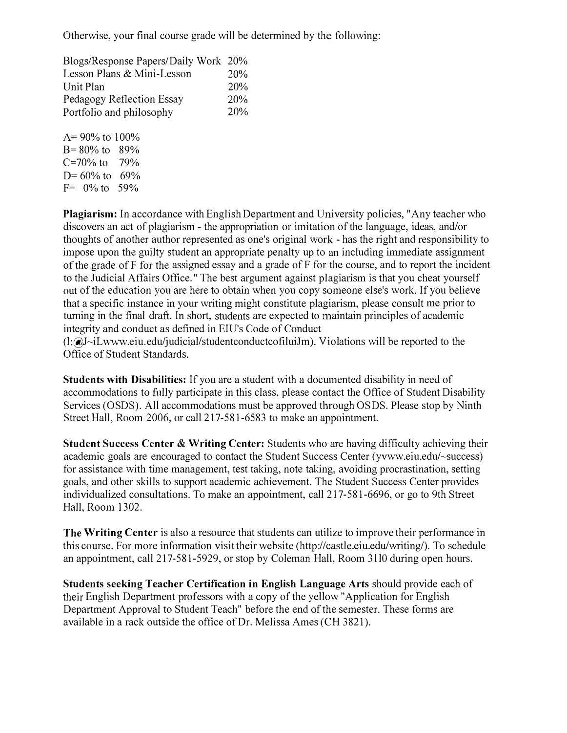Otherwise, your final course grade will be determined by the following:

| Blogs/Response Papers/Daily Work 20% |
|--------------------------------------|
| 20%                                  |
| 20%                                  |
| 20%                                  |
| 20%                                  |
|                                      |

A= 90% to 100%  $B = 80\%$  to  $89\%$ C=70% to  $79%$  $D=60\%$  to 69%  $F = 0\%$  to 59%

Plagiarism: In accordance with English Department and University policies, "Any teacher who discovers an act of plagiarism - the appropriation or imitation of the language, ideas, and/or thoughts of another author represented as one's original work - has the right and responsibility to impose upon the guilty student an appropriate penalty up to an including immediate assignment of the grade of F for the assigned essay and a grade of F for the course, and to report the incident to the Judicial Affairs Office." The best argument against plagiarism is that you cheat yourself out of the education you are here to obtain when you copy someone else's work. If you believe that a specific instance in your writing might constitute plagiarism, please consult me prior to turning in the final draft. In short, students are expected to maintain principles of academic integrity and conduct as defined in EIU's Code of Conduct

(l:@J-iLwww.eiu.edu/judicial/studentconductcofiluiJm). Violations will be reported to the Office of Student Standards.

Students with Disabilities: If you are a student with a documented disability in need of accommodations to fully participate in this class, please contact the Office of Student Disability Services (OSDS). All accommodations must be approved through OSDS. Please stop by Ninth Street Hall, Room 2006, or call 217-581-6583 to make an appointment.

**Student Success Center & Writing Center:** Students who are having difficulty achieving their academic goals are encouraged to contact the Student Success Center (yvww.eiu.edu/-success) for assistance with time management, test taking, note taking, avoiding procrastination, setting goals, and other skills to support academic achievement. The Student Success Center provides individualized consultations. To make an appointment, call 217-581-6696, or go to 9th Street Hall, Room 1302.

The Writing Center is also a resource that students can utilize to improve their performance in this course. For more information visit their website (http://castle.eiu.edu/writing/). To schedule an appointment, call 217-581-5929, or stop by Coleman Hall, Room 3110 during open hours.

Students seeking Teacher Certification in English Language Arts should provide each of their English Department professors with a copy of the yellow "Application for English Department Approval to Student Teach" before the end of the semester. These forms are available in a rack outside the office of Dr. Melissa Ames (CH 3821).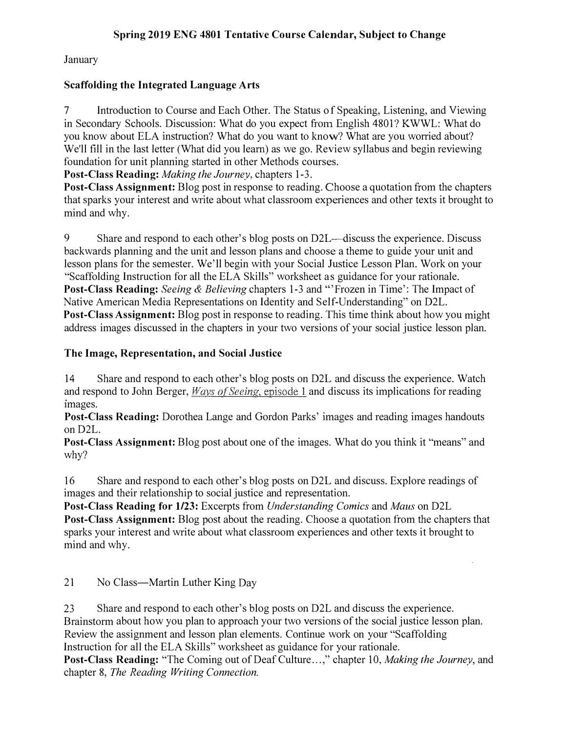#### Spring 2019 ENG 4801 Tentative Course Calendar, Subject to Change

January

#### Scaffolding the Integrated Language Arts

7 Introduction to Course and Each Other. The Status of Speaking, Listening, and Viewing in Secondary Schools. Discussion: What do you expect from English 4801? KWWL: What do you know about ELA instruction? What do you want to know? What are you worried about? We'll fill in the last letter (What did you learn) as we go. Review syllabus and begin reviewing foundation for unit planning started in other Methods courses.

Post-Class Reading: Making the Journey, chapters 1-3.

Post-Class Assignment: Blog post in response to reading. Choose a quotation from the chapters that sparks your interest and write about what classroom experiences and other texts it brought to mind and why.

9 Share and respond to each other's blog posts on D2L--discuss the experience. Discuss backwards planning and the unit and lesson plans and choose a theme to guide your unit and lesson plans for the semester. We'll begin with your Social Justice Lesson Plan. Work on your "Scaffolding Instruction for all the ELA Skills" worksheet as guidance for your rationale. Post-Class Reading: Seeing & Believing chapters 1-3 and "'Frozen in Time': The Impact of Native American Media Representations on Identity and Self-Understanding" on D2L. Post-Class Assignment: Blog post in response to reading. This time think about how you might address images discussed in the chapters in your two versions of your social justice lesson plan.

#### The Image, Representation, and Social Justice

14 Share and respond to each other's blog posts on D2L and discuss the experience. Watch and respond to John Berger,  $Ways$  of Seeing, episode 1 and discuss its implications for reading images.

Post-Class Reading: Dorothea Lange and Gordon Parks' images and reading images handouts on D2L.

Post-Class Assignment: Blog post about one of the images. What do you think it "means" and why?

16 Share and respond to each other's blog posts on D2L and discuss. Explore readings of images and their relationship to social justice and representation.

Post-Class Reading for 1123: Excerpts from Understanding Comics and Maus on D2L Post-Class Assignment: Blog post about the reading. Choose a quotation from the chapters that sparks your interest and write about what classroom experiences and other texts it brought to mind and why.

21 No Class—Martin Luther King Day

23 Share and respond to each other's blog posts on D2L and discuss the experience. Brainstorm about how you plan to approach your two versions of the social justice lesson plan. Review the assignment and lesson plan elements. Continue work on your "Scaffolding Instruction for all the ELA Skills" worksheet as guidance for your rationale.

Post-Class Reading: "The Coming out of Deaf Culture...," chapter 10, Making the Journey, and chapter 8, The Reading Writing Connection.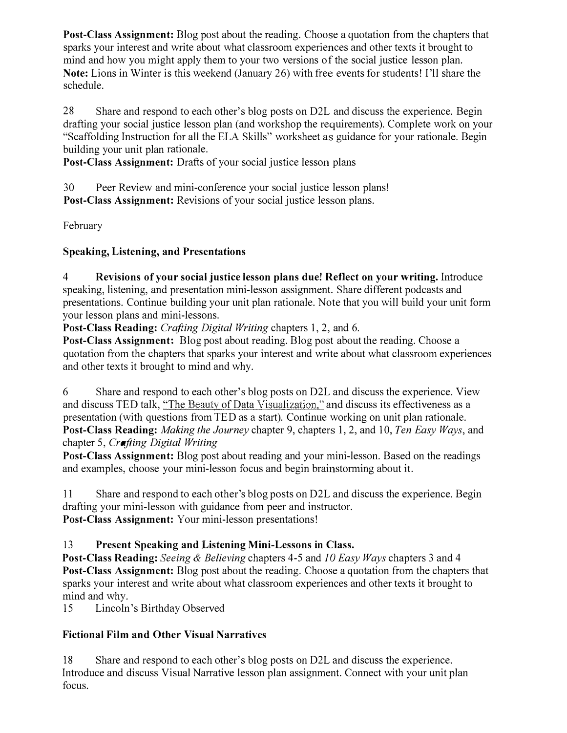Post-Class Assignment: Blog post about the reading. Choose a quotation from the chapters that sparks your interest and write about what classroom experiences and other texts it brought to mind and how you might apply them to your two versions of the social justice lesson plan. Note: Lions in Winter is this weekend (January 26) with free events for students! I'll share the schedule.

28 Share and respond to each other's blog posts on D2L and discuss the experience. Begin drafting your social justice lesson plan (and workshop the requirements). Complete work on your "Scaffolding Instruction for all the ELA Skills" worksheet as guidance for your rationale. Begin building your unit plan rationale.

Post-Class Assignment: Drafts of your social justice lesson plans

30 Peer Review and mini-conference your social justice lesson plans! Post-Class Assignment: Revisions of your social justice lesson plans.

February

### Speaking, Listening, and Presentations

4 Revisions of your social justice lesson plans due! Reflect on your writing. Introduce speaking, listening, and presentation mini-lesson assignment. Share different podcasts and presentations. Continue building your unit plan rationale. Note that you will build your unit form your lesson plans and mini-lessons.

Post-Class Reading: Crafting Digital Writing chapters 1, 2, and 6.

Post-Class Assignment: Blog post about reading. Blog post about the reading. Choose a quotation from the chapters that sparks your interest and write about what classroom experiences and other texts it brought to mind and why.

6 Share and respond to each other's blog posts on D2L and discuss the experience. View and discuss TED talk, "The Beauty of Data Visualization," and discuss its effectiveness as a presentation (with questions from TED as a start). Continue working on unit plan rationale. Post-Class Reading: Making the Journey chapter 9, chapters 1, 2, and 10, Ten Easy Ways, and chapter 5, Crafting Digital Writing

Post-Class Assignment: Blog post about reading and your mini-lesson. Based on the readings and examples, choose your mini-lesson focus and begin brainstorming about it.

I l Share and respond to each other's blog posts on D2L and discuss the experience. Begin drafting your mini-lesson with guidance from peer and instructor. Post-Class Assignment: Your mini-lesson presentations!

### 13 Present Speaking and Listening Mini-Lessons in Class.

Post-Class Reading: Seeing & Believing chapters 4-5 and 10 Easy Ways chapters 3 and 4 Post-Class Assignment: Blog post about the reading. Choose a quotation from the chapters that sparks your interest and write about what classroom experiences and other texts it brought to mind and why.

15 Lincoln's Birthday Observed

## Fictional Film and Other Visual Narratives

18 Share and respond to each other's blog posts on D2L and discuss the experience. Introduce and discuss Visual Narrative lesson plan assignment. Connect with your unit plan focus.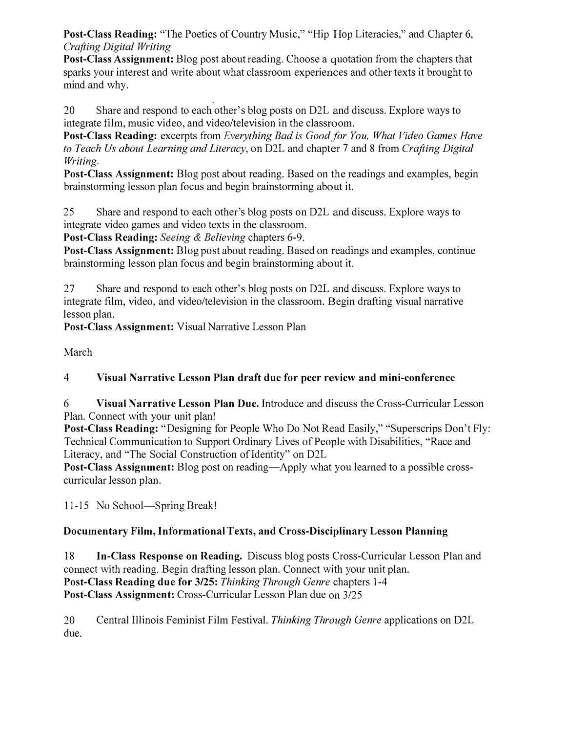Post-Class Reading: "The Poetics of Country Music," "Hip Hop Literacies," and Chapter 6, Crafting Digital Writing

Post-Class Assignment: Blog post about reading. Choose a quotation from the chapters that sparks your interest and write about what classroom experiences and other texts it brought to mind and why.

20 Share and respond to each other's blog posts on D2L and discuss. Explore ways to integrate film, music video, and video/television in the classroom.

Post-Class Reading: excerpts from Everything Bad is Good for You, What Video Games Have to Teach Us about Learning and Literacy, on D2L and chapter 7 and 8 from Crafting Digital Writing.

Post-Class Assignment: Blog post about reading. Based on the readings and examples, begin brainstorming lesson plan focus and begin brainstorming about it.

25 Share and respond to each other's blog posts on D2L and discuss. Explore ways to integrate video games and video texts in the classroom.

Post-Class Reading: Seeing & Believing chapters 6-9.

Post-Class Assignment: Blog post about reading. Based on readings and examples, continue brainstorming lesson plan focus and begin brainstorming about it.

27 Share and respond to each other's blog posts on D2L and discuss. Explore ways to integrate film, video, and video/television in the classroom. Begin drafting visual narrative lesson plan.

Post-Class Assignment: Visual Narrative Lesson Plan

March

## 4 Visual Narrative Lesson Plan draft due for peer review and mini-conference

6 Visual Narrative Lesson Plan Due. Introduce and discuss the Cross-Curricular Lesson Plan. Connect with your unit plan!

Post-Class Reading: "Designing for People Who Do Not Read Easily," "Superscrips Don't Fly: Technical Communication to Support Ordinary Lives of People with Disabilities, "Race and Literacy, and "The Social Construction of Identity" on D2L

Post-Class Assignment: Blog post on reading—Apply what you learned to a possible crosscurricular lesson plan.

11-15 No School-Spring Break!

## Documentary Film, Informational Texts, and Cross-Disciplinary Lesson Planning

18 In-Class Response on Reading. Discuss blog posts Cross-Curricular Lesson Plan and connect with reading. Begin drafting lesson plan. Connect with your unit plan. Post-Class Reading due for 3/25: Thinking Through Genre chapters 1-4 Post-Class Assignment: Cross-Curricular Lesson Plan due on 3/25

20 Central Illinois Feminist Film Festival. Thinking Through Genre applications on D2L due.